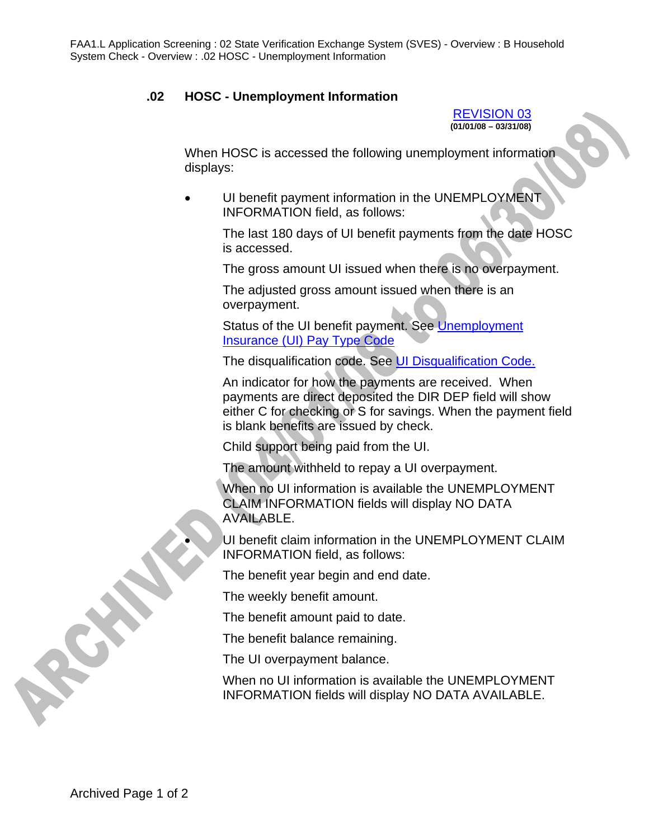## **.02 HOSC - Unemployment Information**

REVISION 03 **(01/01/08 – 03/31/08)** 

When HOSC is accessed the following unemployment information displays:

UI benefit payment information in the UNEMPLOYMENT INFORMATION field, as follows:

> The last 180 days of UI benefit payments from the date HOSC is accessed.

The gross amount UI issued when there is no overpayment.

The adjusted gross amount issued when there is an overpayment.

Status of the UI benefit payment. See Unemployment Insurance (UI) Pay Type Code

The disqualification code. See UI Disqualification Code.

An indicator for how the payments are received. When payments are direct deposited the DIR DEP field will show either C for checking or S for savings. When the payment field is blank benefits are issued by check.

Child support being paid from the UI.

The amount withheld to repay a UI overpayment.

When no UI information is available the UNEMPLOYMENT CLAIM INFORMATION fields will display NO DATA AVAILABLE.

UI benefit claim information in the UNEMPLOYMENT CLAIM INFORMATION field, as follows:

The benefit year begin and end date.

The weekly benefit amount.

The benefit amount paid to date.

The benefit balance remaining.

The UI overpayment balance.

When no UI information is available the UNEMPLOYMENT INFORMATION fields will display NO DATA AVAILABLE.